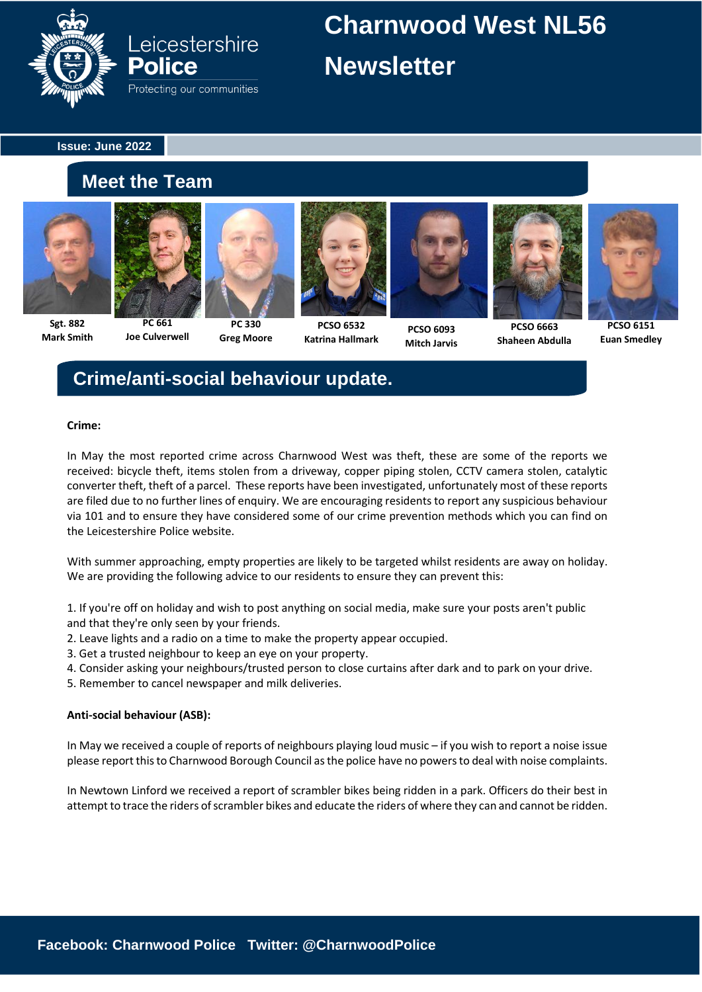

## **Charnwood West NL56 Newsletter**

**Issue: June 2022**

### **Meet the Team**

**Joe Culverwell**



**Mark Smith**







**PCSO 6532 Katrina Hallmark**



**PCSO 6093 Mitch Jarvis**



**Shaheen Abdulla**



**PCSO 6151 Euan Smedley**

## **Crime/anti-social behaviour update.**

#### **Crime:**

In May the most reported crime across Charnwood West was theft, these are some of the reports we received: bicycle theft, items stolen from a driveway, copper piping stolen, CCTV camera stolen, catalytic converter theft, theft of a parcel. These reports have been investigated, unfortunately most of these reports are filed due to no further lines of enquiry. We are encouraging residents to report any suspicious behaviour via 101 and to ensure they have considered some of our crime prevention methods which you can find on the Leicestershire Police website.

With summer approaching, empty properties are likely to be targeted whilst residents are away on holiday. We are providing the following advice to our residents to ensure they can prevent this:

1. If you're off on holiday and wish to post anything on social media, make sure your posts aren't public and that they're only seen by your friends.

- 2. Leave lights and a radio on a time to make the property appear occupied.
- 3. Get a trusted neighbour to keep an eye on your property.
- 4. Consider asking your neighbours/trusted person to close curtains after dark and to park on your drive.
- 5. Remember to cancel newspaper and milk deliveries.

#### **Anti-social behaviour (ASB):**

In May we received a couple of reports of neighbours playing loud music – if you wish to report a noise issue please report this to Charnwood Borough Council as the police have no powers to deal with noise complaints.

In Newtown Linford we received a report of scrambler bikes being ridden in a park. Officers do their best in attempt to trace the riders of scrambler bikes and educate the riders of where they can and cannot be ridden.